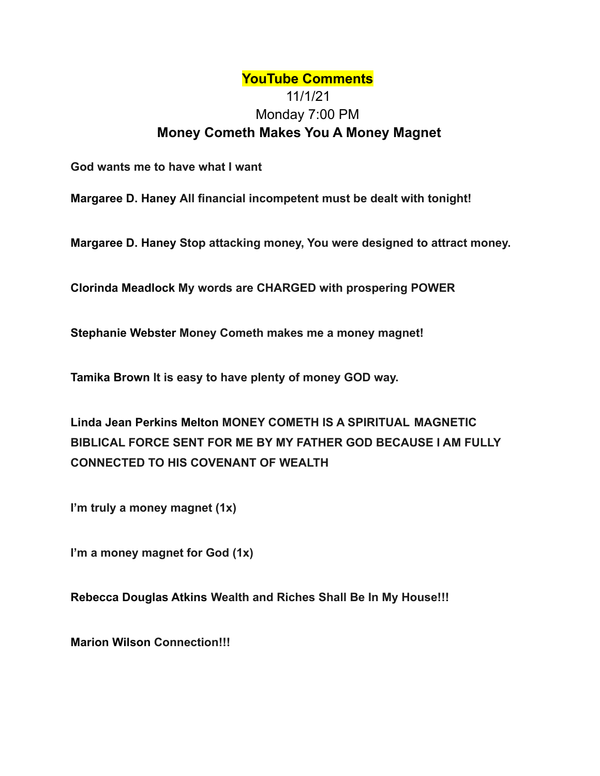## **YouTube Comments** 11/1/21 Monday 7:00 PM **Money Cometh Makes You A Money Magnet**

**God wants me to have what I want**

**Margaree D. Haney All financial incompetent must be dealt with tonight!**

**Margaree D. Haney Stop attacking money, You were designed to attract money.**

**Clorinda Meadlock My words are CHARGED with prospering POWER**

**Stephanie Webster Money Cometh makes me a money magnet!**

**Tamika Brown It is easy to have plenty of money GOD way.**

**Linda Jean Perkins Melton MONEY COMETH IS A SPIRITUAL MAGNETIC BIBLICAL FORCE SENT FOR ME BY MY FATHER GOD BECAUSE I AM FULLY CONNECTED TO HIS COVENANT OF WEALTH**

**I'm truly a money magnet (1x)**

**I'm a money magnet for God (1x)**

**Rebecca Douglas Atkins Wealth and Riches Shall Be In My House!!!**

**Marion Wilson Connection!!!**